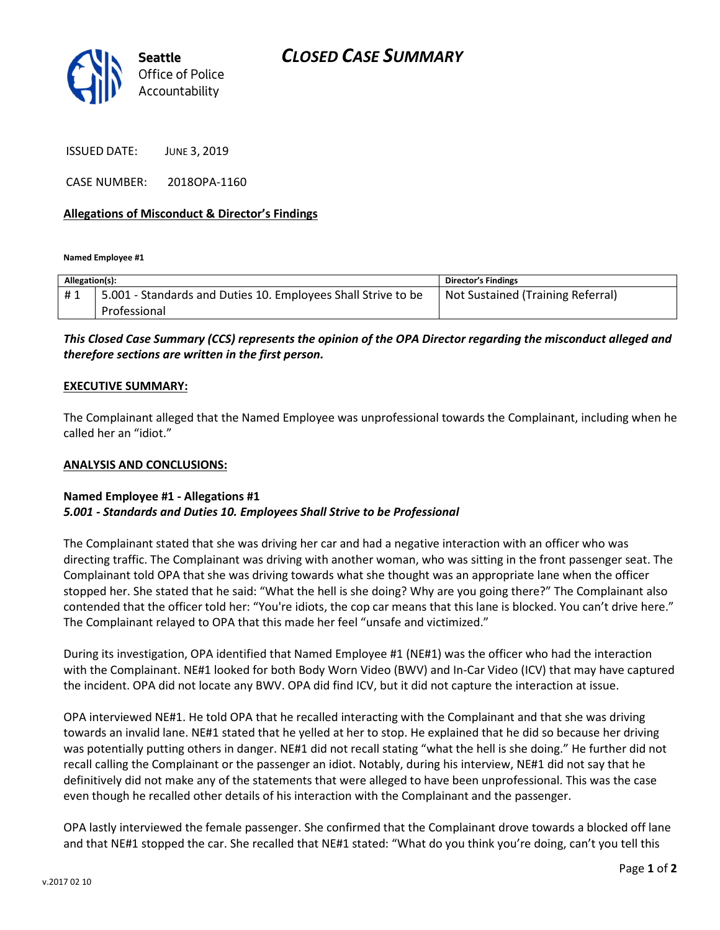

ISSUED DATE: JUNE 3, 2019

CASE NUMBER: 2018OPA-1160

## Allegations of Misconduct & Director's Findings

Named Employee #1

| Allegation(s): |                                                               | <b>Director's Findings</b>        |
|----------------|---------------------------------------------------------------|-----------------------------------|
| #1             | 5.001 - Standards and Duties 10. Employees Shall Strive to be | Not Sustained (Training Referral) |
|                | Professional                                                  |                                   |

This Closed Case Summary (CCS) represents the opinion of the OPA Director regarding the misconduct alleged and therefore sections are written in the first person.

#### EXECUTIVE SUMMARY:

The Complainant alleged that the Named Employee was unprofessional towards the Complainant, including when he called her an "idiot."

#### ANALYSIS AND CONCLUSIONS:

## Named Employee #1 - Allegations #1 5.001 - Standards and Duties 10. Employees Shall Strive to be Professional

The Complainant stated that she was driving her car and had a negative interaction with an officer who was directing traffic. The Complainant was driving with another woman, who was sitting in the front passenger seat. The Complainant told OPA that she was driving towards what she thought was an appropriate lane when the officer stopped her. She stated that he said: "What the hell is she doing? Why are you going there?" The Complainant also contended that the officer told her: "You're idiots, the cop car means that this lane is blocked. You can't drive here." The Complainant relayed to OPA that this made her feel "unsafe and victimized."

During its investigation, OPA identified that Named Employee #1 (NE#1) was the officer who had the interaction with the Complainant. NE#1 looked for both Body Worn Video (BWV) and In-Car Video (ICV) that may have captured the incident. OPA did not locate any BWV. OPA did find ICV, but it did not capture the interaction at issue.

OPA interviewed NE#1. He told OPA that he recalled interacting with the Complainant and that she was driving towards an invalid lane. NE#1 stated that he yelled at her to stop. He explained that he did so because her driving was potentially putting others in danger. NE#1 did not recall stating "what the hell is she doing." He further did not recall calling the Complainant or the passenger an idiot. Notably, during his interview, NE#1 did not say that he definitively did not make any of the statements that were alleged to have been unprofessional. This was the case even though he recalled other details of his interaction with the Complainant and the passenger.

OPA lastly interviewed the female passenger. She confirmed that the Complainant drove towards a blocked off lane and that NE#1 stopped the car. She recalled that NE#1 stated: "What do you think you're doing, can't you tell this